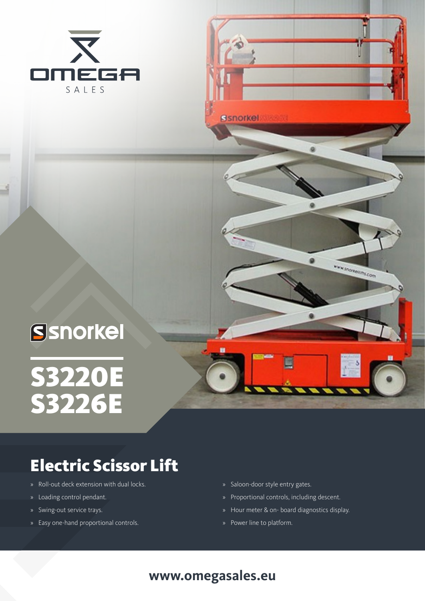



WWW.STICKTONIERS.COM

# Ssnorkel S3220ES3226E

## Electric Scissor Lift

- » Roll-out deck extension with dual locks.
- » Loading control pendant.
- » Swing-out service trays.
- » Easy one-hand proportional controls.
- » Saloon-door style entry gates.
- » Proportional controls, including descent.
- » Hour meter & on- board diagnostics display.
- » Power line to platform.

#### **www.omegasales.eu**